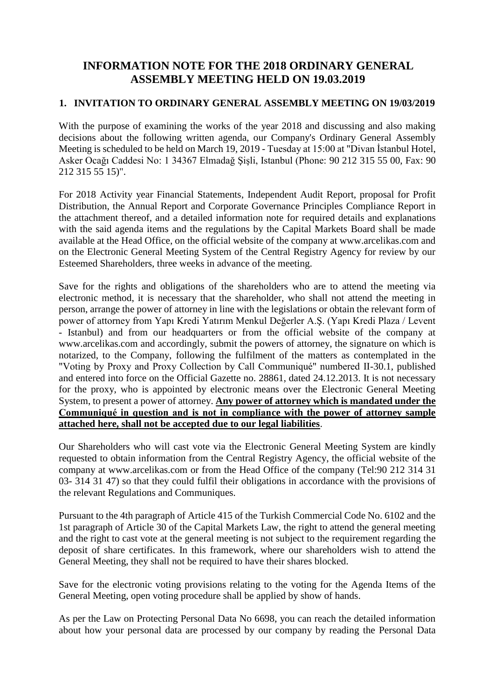# **INFORMATION NOTE FOR THE 2018 ORDINARY GENERAL ASSEMBLY MEETING HELD ON 19.03.2019**

## **1. INVITATION TO ORDINARY GENERAL ASSEMBLY MEETING ON 19/03/2019**

With the purpose of examining the works of the year 2018 and discussing and also making decisions about the following written agenda, our Company's Ordinary General Assembly Meeting is scheduled to be held on March 19, 2019 - Tuesday at 15:00 at "Divan İstanbul Hotel, Asker Ocağı Caddesi No: 1 34367 Elmadağ Şişli, Istanbul (Phone: 90 212 315 55 00, Fax: 90 212 315 55 15)".

For 2018 Activity year Financial Statements, Independent Audit Report, proposal for Profit Distribution, the Annual Report and Corporate Governance Principles Compliance Report in the attachment thereof, and a detailed information note for required details and explanations with the said agenda items and the regulations by the Capital Markets Board shall be made available at the Head Office, on the official website of the company at www.arcelikas.com and on the Electronic General Meeting System of the Central Registry Agency for review by our Esteemed Shareholders, three weeks in advance of the meeting.

Save for the rights and obligations of the shareholders who are to attend the meeting via electronic method, it is necessary that the shareholder, who shall not attend the meeting in person, arrange the power of attorney in line with the legislations or obtain the relevant form of power of attorney from Yapı Kredi Yatırım Menkul Değerler A.Ş. (Yapı Kredi Plaza / Levent - Istanbul) and from our headquarters or from the official website of the company at www.arcelikas.com and accordingly, submit the powers of attorney, the signature on which is notarized, to the Company, following the fulfilment of the matters as contemplated in the "Voting by Proxy and Proxy Collection by Call Communiqué" numbered II-30.1, published and entered into force on the Official Gazette no. 28861, dated 24.12.2013. It is not necessary for the proxy, who is appointed by electronic means over the Electronic General Meeting System, to present a power of attorney. **Any power of attorney which is mandated under the Communiqué in question and is not in compliance with the power of attorney sample attached here, shall not be accepted due to our legal liabilities**.

Our Shareholders who will cast vote via the Electronic General Meeting System are kindly requested to obtain information from the Central Registry Agency, the official website of the company at www.arcelikas.com or from the Head Office of the company (Tel:90 212 314 31 03- 314 31 47) so that they could fulfil their obligations in accordance with the provisions of the relevant Regulations and Communiques.

Pursuant to the 4th paragraph of Article 415 of the Turkish Commercial Code No. 6102 and the 1st paragraph of Article 30 of the Capital Markets Law, the right to attend the general meeting and the right to cast vote at the general meeting is not subject to the requirement regarding the deposit of share certificates. In this framework, where our shareholders wish to attend the General Meeting, they shall not be required to have their shares blocked.

Save for the electronic voting provisions relating to the voting for the Agenda Items of the General Meeting, open voting procedure shall be applied by show of hands.

As per the Law on Protecting Personal Data No 6698, you can reach the detailed information about how your personal data are processed by our company by reading the Personal Data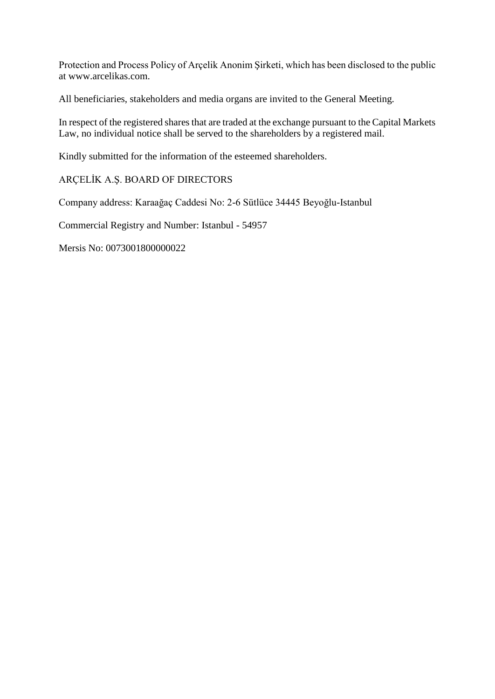Protection and Process Policy of Arçelik Anonim Şirketi, which has been disclosed to the public at www.arcelikas.com.

All beneficiaries, stakeholders and media organs are invited to the General Meeting.

In respect of the registered shares that are traded at the exchange pursuant to the Capital Markets Law, no individual notice shall be served to the shareholders by a registered mail.

Kindly submitted for the information of the esteemed shareholders.

## ARÇELİK A.Ş. BOARD OF DIRECTORS

Company address: Karaağaç Caddesi No: 2-6 Sütlüce 34445 Beyoğlu-Istanbul

Commercial Registry and Number: Istanbul - 54957

Mersis No: 0073001800000022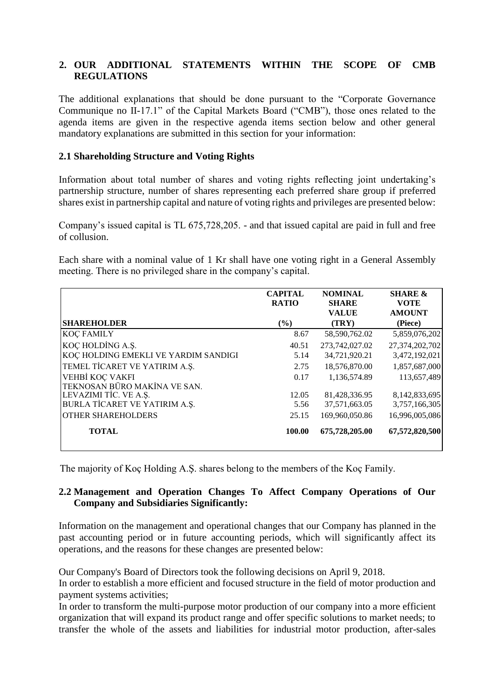## **2. OUR ADDITIONAL STATEMENTS WITHIN THE SCOPE OF CMB REGULATIONS**

The additional explanations that should be done pursuant to the "Corporate Governance Communique no II-17.1" of the Capital Markets Board ("CMB"), those ones related to the agenda items are given in the respective agenda items section below and other general mandatory explanations are submitted in this section for your information:

## **2.1 Shareholding Structure and Voting Rights**

Information about total number of shares and voting rights reflecting joint undertaking's partnership structure, number of shares representing each preferred share group if preferred shares exist in partnership capital and nature of voting rights and privileges are presented below:

Company's issued capital is TL 675,728,205. - and that issued capital are paid in full and free of collusion.

Each share with a nominal value of 1 Kr shall have one voting right in a General Assembly meeting. There is no privileged share in the company's capital.

|                                                 | <b>CAPITAL</b><br><b>RATIO</b> | <b>NOMINAL</b><br><b>SHARE</b><br><b>VALUE</b> | <b>SHARE &amp;</b><br><b>VOTE</b><br><b>AMOUNT</b> |
|-------------------------------------------------|--------------------------------|------------------------------------------------|----------------------------------------------------|
| <b>SHAREHOLDER</b>                              | $\frac{6}{6}$                  | (TRY)                                          | (Piece)                                            |
| <b>KOÇ FAMILY</b>                               | 8.67                           | 58,590,762.02                                  | 5,859,076,202                                      |
| KOÇ HOLDİNG A.Ş.                                | 40.51                          | 273,742,027.02                                 | 27,374,202,702                                     |
| KOÇ HOLDING EMEKLI VE YARDIM SANDIGI            | 5.14                           | 34,721,920.21                                  | 3,472,192,021                                      |
| TEMEL TİCARET VE YATIRIM A.Ş.                   | 2.75                           | 18,576,870.00                                  | 1,857,687,000                                      |
| VEHBİ KOÇ VAKFI<br>TEKNOSAN BÜRO MAKİNA VE SAN. | 0.17                           | 1,136,574.89                                   | 113,657,489                                        |
| LEVAZIMI TİC. VE A.Ş.                           | 12.05                          | 81,428,336.95                                  | 8,142,833,695                                      |
| BURLA TİCARET VE YATIRIM A.Ş.                   | 5.56                           | 37,571,663.05                                  | 3,757,166,305                                      |
| <b>OTHER SHAREHOLDERS</b>                       | 25.15                          | 169,960,050.86                                 | 16,996,005,086                                     |
| <b>TOTAL</b>                                    | 100.00                         | 675,728,205.00                                 | 67,572,820,500                                     |

The majority of Koç Holding A.Ş. shares belong to the members of the Koç Family.

## **2.2 Management and Operation Changes To Affect Company Operations of Our Company and Subsidiaries Significantly:**

Information on the management and operational changes that our Company has planned in the past accounting period or in future accounting periods, which will significantly affect its operations, and the reasons for these changes are presented below:

Our Company's Board of Directors took the following decisions on April 9, 2018.

In order to establish a more efficient and focused structure in the field of motor production and payment systems activities;

In order to transform the multi-purpose motor production of our company into a more efficient organization that will expand its product range and offer specific solutions to market needs; to transfer the whole of the assets and liabilities for industrial motor production, after-sales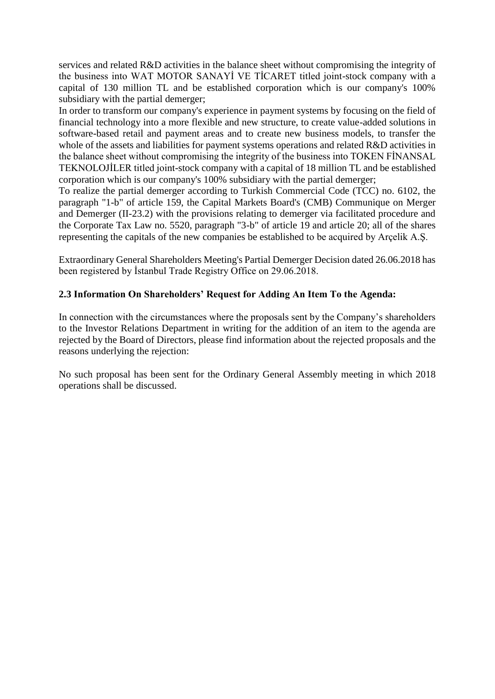services and related R&D activities in the balance sheet without compromising the integrity of the business into WAT MOTOR SANAYİ VE TİCARET titled joint-stock company with a capital of 130 million TL and be established corporation which is our company's 100% subsidiary with the partial demerger;

In order to transform our company's experience in payment systems by focusing on the field of financial technology into a more flexible and new structure, to create value-added solutions in software-based retail and payment areas and to create new business models, to transfer the whole of the assets and liabilities for payment systems operations and related R&D activities in the balance sheet without compromising the integrity of the business into TOKEN FİNANSAL TEKNOLOJİLER titled joint-stock company with a capital of 18 million TL and be established corporation which is our company's 100% subsidiary with the partial demerger;

To realize the partial demerger according to Turkish Commercial Code (TCC) no. 6102, the paragraph "1-b" of article 159, the Capital Markets Board's (CMB) Communique on Merger and Demerger (II-23.2) with the provisions relating to demerger via facilitated procedure and the Corporate Tax Law no. 5520, paragraph "3-b" of article 19 and article 20; all of the shares representing the capitals of the new companies be established to be acquired by Arçelik A.Ş.

Extraordinary General Shareholders Meeting's Partial Demerger Decision dated 26.06.2018 has been registered by İstanbul Trade Registry Office on 29.06.2018.

# **2.3 Information On Shareholders' Request for Adding An Item To the Agenda:**

In connection with the circumstances where the proposals sent by the Company's shareholders to the Investor Relations Department in writing for the addition of an item to the agenda are rejected by the Board of Directors, please find information about the rejected proposals and the reasons underlying the rejection:

No such proposal has been sent for the Ordinary General Assembly meeting in which 2018 operations shall be discussed.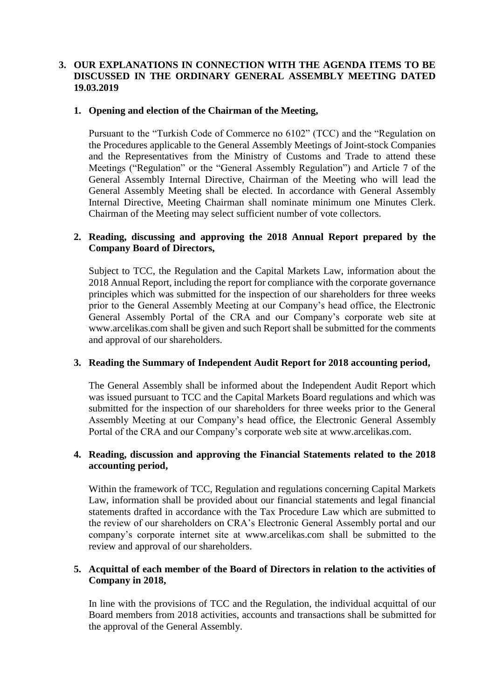## **3. OUR EXPLANATIONS IN CONNECTION WITH THE AGENDA ITEMS TO BE DISCUSSED IN THE ORDINARY GENERAL ASSEMBLY MEETING DATED 19.03.2019**

## **1. Opening and election of the Chairman of the Meeting,**

Pursuant to the "Turkish Code of Commerce no 6102" (TCC) and the "Regulation on the Procedures applicable to the General Assembly Meetings of Joint-stock Companies and the Representatives from the Ministry of Customs and Trade to attend these Meetings ("Regulation" or the "General Assembly Regulation") and Article 7 of the General Assembly Internal Directive, Chairman of the Meeting who will lead the General Assembly Meeting shall be elected. In accordance with General Assembly Internal Directive, Meeting Chairman shall nominate minimum one Minutes Clerk. Chairman of the Meeting may select sufficient number of vote collectors.

## **2. Reading, discussing and approving the 2018 Annual Report prepared by the Company Board of Directors,**

Subject to TCC, the Regulation and the Capital Markets Law, information about the 2018 Annual Report, including the report for compliance with the corporate governance principles which was submitted for the inspection of our shareholders for three weeks prior to the General Assembly Meeting at our Company's head office, the Electronic General Assembly Portal of the CRA and our Company's corporate web site at [www.arcelikas.com](http://www.arcelikas.com/) shall be given and such Report shall be submitted for the comments and approval of our shareholders.

#### **3. Reading the Summary of Independent Audit Report for 2018 accounting period,**

The General Assembly shall be informed about the Independent Audit Report which was issued pursuant to TCC and the Capital Markets Board regulations and which was submitted for the inspection of our shareholders for three weeks prior to the General Assembly Meeting at our Company's head office, the Electronic General Assembly Portal of the CRA and our Company's corporate web site at [www.arcelikas.com.](http://www.arcelikas.com/)

## **4. Reading, discussion and approving the Financial Statements related to the 2018 accounting period,**

Within the framework of TCC, Regulation and regulations concerning Capital Markets Law, information shall be provided about our financial statements and legal financial statements drafted in accordance with the Tax Procedure Law which are submitted to the review of our shareholders on CRA's Electronic General Assembly portal and our company's corporate internet site at [www.arcelikas.com](http://www.arcelikas.com/) shall be submitted to the review and approval of our shareholders.

## **5. Acquittal of each member of the Board of Directors in relation to the activities of Company in 2018,**

In line with the provisions of TCC and the Regulation, the individual acquittal of our Board members from 2018 activities, accounts and transactions shall be submitted for the approval of the General Assembly.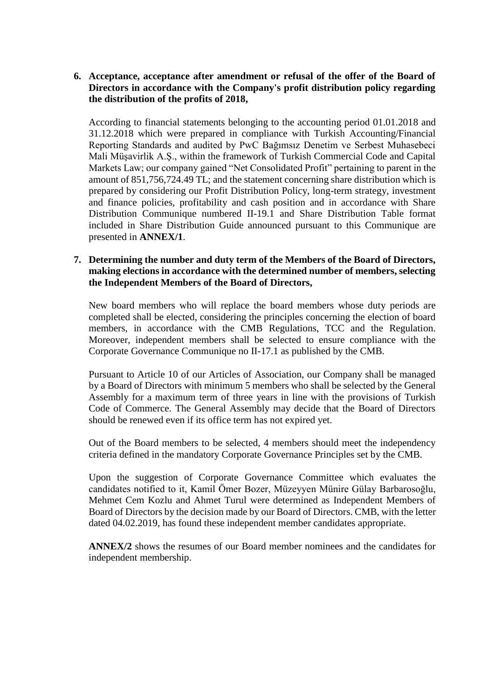## **6. Acceptance, acceptance after amendment or refusal of the offer of the Board of Directors in accordance with the Company's profit distribution policy regarding the distribution of the profits of 2018,**

According to financial statements belonging to the accounting period 01.01.2018 and 31.12.2018 which were prepared in compliance with Turkish Accounting/Financial Reporting Standards and audited by PwC Bağımsız Denetim ve Serbest Muhasebeci Mali Müşavirlik A.Ş., within the framework of Turkish Commercial Code and Capital Markets Law; our company gained "Net Consolidated Profit" pertaining to parent in the amount of 851,756,724.49 TL; and the statement concerning share distribution which is prepared by considering our Profit Distribution Policy, long-term strategy, investment and finance policies, profitability and cash position and in accordance with Share Distribution Communique numbered II-19.1 and Share Distribution Table format included in Share Distribution Guide announced pursuant to this Communique are presented in **ANNEX/1**.

## **7. Determining the number and duty term of the Members of the Board of Directors, making elections in accordance with the determined number of members, selecting the Independent Members of the Board of Directors,**

New board members who will replace the board members whose duty periods are completed shall be elected, considering the principles concerning the election of board members, in accordance with the CMB Regulations, TCC and the Regulation. Moreover, independent members shall be selected to ensure compliance with the Corporate Governance Communique no II-17.1 as published by the CMB.

Pursuant to Article 10 of our Articles of Association, our Company shall be managed by a Board of Directors with minimum 5 members who shall be selected by the General Assembly for a maximum term of three years in line with the provisions of Turkish Code of Commerce. The General Assembly may decide that the Board of Directors should be renewed even if its office term has not expired yet.

Out of the Board members to be selected, 4 members should meet the independency criteria defined in the mandatory Corporate Governance Principles set by the CMB.

Upon the suggestion of Corporate Governance Committee which evaluates the candidates notified to it, Kamil Ömer Bozer, Müzeyyen Münire Gülay Barbarosoğlu, Mehmet Cem Kozlu and Ahmet Turul were determined as Independent Members of Board of Directors by the decision made by our Board of Directors. CMB, with the letter dated 04.02.2019, has found these independent member candidates appropriate.

**ANNEX/2** shows the resumes of our Board member nominees and the candidates for independent membership.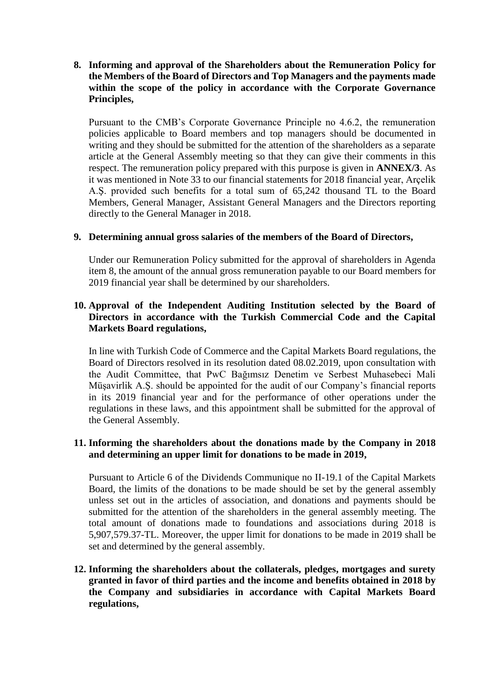**8. Informing and approval of the Shareholders about the Remuneration Policy for the Members of the Board of Directors and Top Managers and the payments made within the scope of the policy in accordance with the Corporate Governance Principles,** 

Pursuant to the CMB's Corporate Governance Principle no 4.6.2, the remuneration policies applicable to Board members and top managers should be documented in writing and they should be submitted for the attention of the shareholders as a separate article at the General Assembly meeting so that they can give their comments in this respect. The remuneration policy prepared with this purpose is given in **ANNEX/3**. As it was mentioned in Note 33 to our financial statements for 2018 financial year, Arçelik A.Ş. provided such benefits for a total sum of 65,242 thousand TL to the Board Members, General Manager, Assistant General Managers and the Directors reporting directly to the General Manager in 2018.

## **9. Determining annual gross salaries of the members of the Board of Directors,**

Under our Remuneration Policy submitted for the approval of shareholders in Agenda item 8, the amount of the annual gross remuneration payable to our Board members for 2019 financial year shall be determined by our shareholders.

## **10. Approval of the Independent Auditing Institution selected by the Board of Directors in accordance with the Turkish Commercial Code and the Capital Markets Board regulations,**

In line with Turkish Code of Commerce and the Capital Markets Board regulations, the Board of Directors resolved in its resolution dated 08.02.2019, upon consultation with the Audit Committee, that PwC Bağımsız Denetim ve Serbest Muhasebeci Mali Müşavirlik A.Ş. should be appointed for the audit of our Company's financial reports in its 2019 financial year and for the performance of other operations under the regulations in these laws, and this appointment shall be submitted for the approval of the General Assembly.

## **11. Informing the shareholders about the donations made by the Company in 2018 and determining an upper limit for donations to be made in 2019,**

Pursuant to Article 6 of the Dividends Communique no II-19.1 of the Capital Markets Board, the limits of the donations to be made should be set by the general assembly unless set out in the articles of association, and donations and payments should be submitted for the attention of the shareholders in the general assembly meeting. The total amount of donations made to foundations and associations during 2018 is 5,907,579.37-TL. Moreover, the upper limit for donations to be made in 2019 shall be set and determined by the general assembly.

**12. Informing the shareholders about the collaterals, pledges, mortgages and surety granted in favor of third parties and the income and benefits obtained in 2018 by the Company and subsidiaries in accordance with Capital Markets Board regulations,**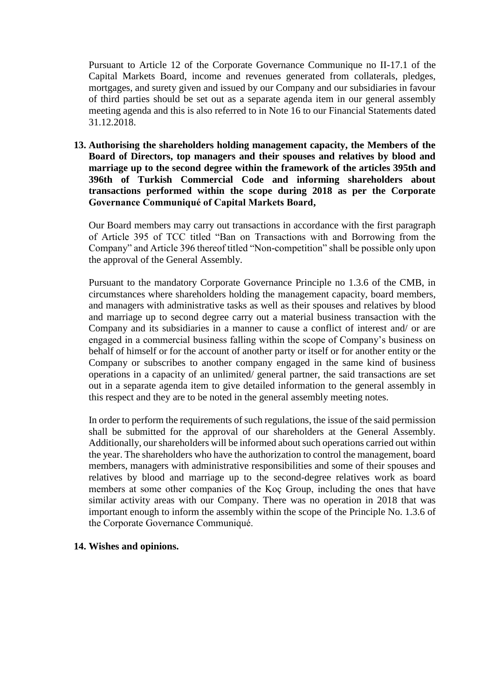Pursuant to Article 12 of the Corporate Governance Communique no II-17.1 of the Capital Markets Board, income and revenues generated from collaterals, pledges, mortgages, and surety given and issued by our Company and our subsidiaries in favour of third parties should be set out as a separate agenda item in our general assembly meeting agenda and this is also referred to in Note 16 to our Financial Statements dated 31.12.2018.

**13. Authorising the shareholders holding management capacity, the Members of the Board of Directors, top managers and their spouses and relatives by blood and marriage up to the second degree within the framework of the articles 395th and 396th of Turkish Commercial Code and informing shareholders about transactions performed within the scope during 2018 as per the Corporate Governance Communiqué of Capital Markets Board,**

Our Board members may carry out transactions in accordance with the first paragraph of Article 395 of TCC titled "Ban on Transactions with and Borrowing from the Company" and Article 396 thereof titled "Non-competition" shall be possible only upon the approval of the General Assembly.

Pursuant to the mandatory Corporate Governance Principle no 1.3.6 of the CMB, in circumstances where shareholders holding the management capacity, board members, and managers with administrative tasks as well as their spouses and relatives by blood and marriage up to second degree carry out a material business transaction with the Company and its subsidiaries in a manner to cause a conflict of interest and/ or are engaged in a commercial business falling within the scope of Company's business on behalf of himself or for the account of another party or itself or for another entity or the Company or subscribes to another company engaged in the same kind of business operations in a capacity of an unlimited/ general partner, the said transactions are set out in a separate agenda item to give detailed information to the general assembly in this respect and they are to be noted in the general assembly meeting notes.

In order to perform the requirements of such regulations, the issue of the said permission shall be submitted for the approval of our shareholders at the General Assembly. Additionally, our shareholders will be informed about such operations carried out within the year. The shareholders who have the authorization to control the management, board members, managers with administrative responsibilities and some of their spouses and relatives by blood and marriage up to the second-degree relatives work as board members at some other companies of the Koç Group, including the ones that have similar activity areas with our Company. There was no operation in 2018 that was important enough to inform the assembly within the scope of the Principle No. 1.3.6 of the Corporate Governance Communiqué.

#### **14. Wishes and opinions.**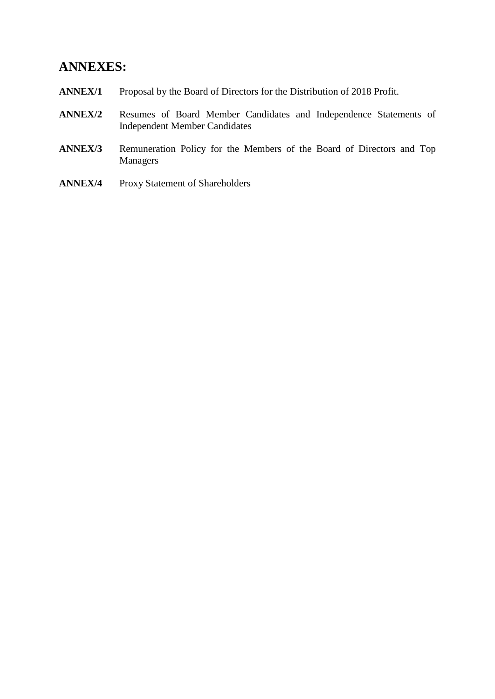# **ANNEXES:**

- **ANNEX/1** Proposal by the Board of Directors for the Distribution of 2018 Profit.
- **ANNEX/2** Resumes of Board Member Candidates and Independence Statements of Independent Member Candidates
- **ANNEX/3** Remuneration Policy for the Members of the Board of Directors and Top Managers
- **ANNEX/4** Proxy Statement of Shareholders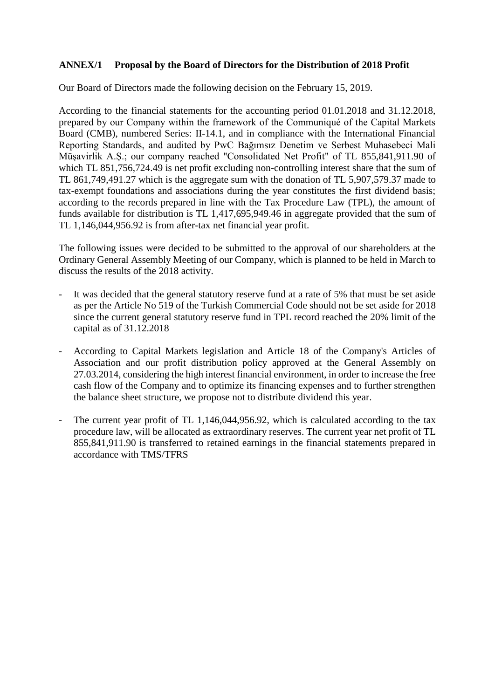## **ANNEX/1 Proposal by the Board of Directors for the Distribution of 2018 Profit**

Our Board of Directors made the following decision on the February 15, 2019.

According to the financial statements for the accounting period 01.01.2018 and 31.12.2018, prepared by our Company within the framework of the Communiqué of the Capital Markets Board (CMB), numbered Series: II-14.1, and in compliance with the International Financial Reporting Standards, and audited by PwC Bağımsız Denetim ve Serbest Muhasebeci Mali Müşavirlik A.Ş.; our company reached "Consolidated Net Profit" of TL 855,841,911.90 of which TL 851,756,724.49 is net profit excluding non-controlling interest share that the sum of TL 861,749,491.27 which is the aggregate sum with the donation of TL 5,907,579.37 made to tax-exempt foundations and associations during the year constitutes the first dividend basis; according to the records prepared in line with the Tax Procedure Law (TPL), the amount of funds available for distribution is TL 1,417,695,949.46 in aggregate provided that the sum of TL 1,146,044,956.92 is from after-tax net financial year profit.

The following issues were decided to be submitted to the approval of our shareholders at the Ordinary General Assembly Meeting of our Company, which is planned to be held in March to discuss the results of the 2018 activity.

- It was decided that the general statutory reserve fund at a rate of 5% that must be set aside as per the Article No 519 of the Turkish Commercial Code should not be set aside for 2018 since the current general statutory reserve fund in TPL record reached the 20% limit of the capital as of 31.12.2018
- According to Capital Markets legislation and Article 18 of the Company's Articles of Association and our profit distribution policy approved at the General Assembly on 27.03.2014, considering the high interest financial environment, in order to increase the free cash flow of the Company and to optimize its financing expenses and to further strengthen the balance sheet structure, we propose not to distribute dividend this year.
- The current year profit of TL 1,146,044,956.92, which is calculated according to the tax procedure law, will be allocated as extraordinary reserves. The current year net profit of TL 855,841,911.90 is transferred to retained earnings in the financial statements prepared in accordance with TMS/TFRS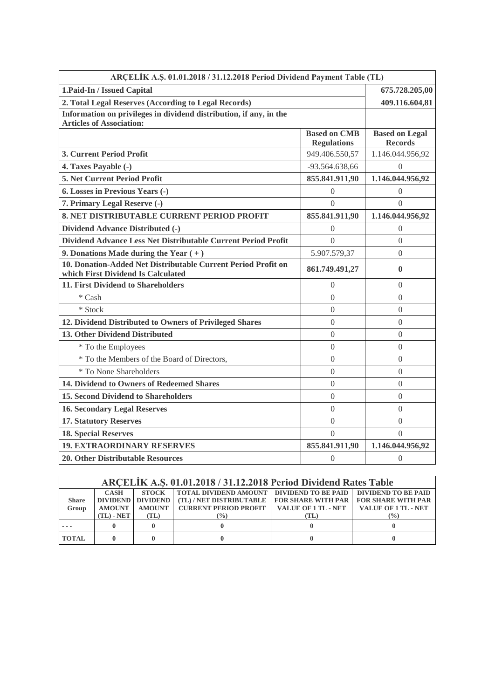| ARCELIK A.Ş. 01.01.2018 / 31.12.2018 Period Dividend Payment Table (TL)                               |                                           |                                         |  |
|-------------------------------------------------------------------------------------------------------|-------------------------------------------|-----------------------------------------|--|
| 1. Paid-In / Issued Capital                                                                           | 675.728.205,00                            |                                         |  |
| 2. Total Legal Reserves (According to Legal Records)                                                  | 409.116.604,81                            |                                         |  |
| Information on privileges in dividend distribution, if any, in the<br><b>Articles of Association:</b> |                                           |                                         |  |
|                                                                                                       | <b>Based on CMB</b><br><b>Regulations</b> | <b>Based on Legal</b><br><b>Records</b> |  |
| 3. Current Period Profit                                                                              | 949.406.550,57                            | 1.146.044.956,92                        |  |
| 4. Taxes Payable (-)                                                                                  | -93.564.638,66                            | $\overline{0}$                          |  |
| 5. Net Current Period Profit                                                                          | 855.841.911,90                            | 1.146.044.956,92                        |  |
| 6. Losses in Previous Years (-)                                                                       | $\Omega$                                  | $\Omega$                                |  |
| 7. Primary Legal Reserve (-)                                                                          | $\Omega$                                  | $\theta$                                |  |
| 8. NET DISTRIBUTABLE CURRENT PERIOD PROFIT                                                            | 855.841.911,90                            | 1.146.044.956,92                        |  |
| Dividend Advance Distributed (-)                                                                      | $\Omega$                                  | $\Omega$                                |  |
| Dividend Advance Less Net Distributable Current Period Profit                                         | $\theta$                                  | $\overline{0}$                          |  |
| 9. Donations Made during the Year $(+)$                                                               | 5.907.579,37                              | $\Omega$                                |  |
| 10. Donation-Added Net Distributable Current Period Profit on<br>which First Dividend Is Calculated   | 861.749.491,27                            | $\bf{0}$                                |  |
| 11. First Dividend to Shareholders                                                                    | $\theta$                                  | $\Omega$                                |  |
| * Cash                                                                                                | $\theta$                                  | $\theta$                                |  |
| * Stock                                                                                               | $\Omega$                                  | $\Omega$                                |  |
| 12. Dividend Distributed to Owners of Privileged Shares                                               | $\theta$                                  | $\theta$                                |  |
| 13. Other Dividend Distributed                                                                        | $\overline{0}$                            | $\Omega$                                |  |
| * To the Employees                                                                                    | $\overline{0}$                            | $\overline{0}$                          |  |
| * To the Members of the Board of Directors,                                                           | $\overline{0}$                            | $\overline{0}$                          |  |
| * To None Shareholders                                                                                | $\overline{0}$                            | $\theta$                                |  |
| 14. Dividend to Owners of Redeemed Shares                                                             | $\theta$                                  | $\Omega$                                |  |
| <b>15. Second Dividend to Shareholders</b>                                                            | $\overline{0}$                            | $\overline{0}$                          |  |
| <b>16. Secondary Legal Reserves</b>                                                                   | $\overline{0}$                            | $\Omega$                                |  |
| <b>17. Statutory Reserves</b>                                                                         | $\overline{0}$                            | $\theta$                                |  |
| <b>18. Special Reserves</b>                                                                           | $\overline{0}$                            | $\Omega$                                |  |
| <b>19. EXTRAORDINARY RESERVES</b>                                                                     | 855.841.911,90                            | 1.146.044.956,92                        |  |
| <b>20. Other Distributable Resources</b>                                                              | $\boldsymbol{0}$                          | $\boldsymbol{0}$                        |  |

| ARCELIK A.S. 01.01.2018 / 31.12.2018 Period Dividend Rates Table |                                              |                                                            |                                                                                                                                                                                        |                                                   |                |
|------------------------------------------------------------------|----------------------------------------------|------------------------------------------------------------|----------------------------------------------------------------------------------------------------------------------------------------------------------------------------------------|---------------------------------------------------|----------------|
| <b>Share</b><br>Group                                            | <b>CASH</b><br><b>AMOUNT</b><br>$(TL)$ - NET | <b>STOCK</b><br>DIVIDEND DIVIDEND<br><b>AMOUNT</b><br>(TL) | TOTAL DIVIDEND AMOUNT   DIVIDEND TO BE PAID   DIVIDEND TO BE PAID<br>(TL)/NET DISTRIBUTABLE   FOR SHARE WITH PAR   FOR SHARE WITH PAR<br><b>CURRENT PERIOD PROFIT</b><br>$\frac{9}{6}$ | VALUE OF 1 TL - NET   VALUE OF 1 TL - NET<br>(TL) | $\binom{0}{0}$ |
|                                                                  |                                              |                                                            |                                                                                                                                                                                        |                                                   |                |
| <b>TOTAL</b>                                                     |                                              |                                                            |                                                                                                                                                                                        |                                                   |                |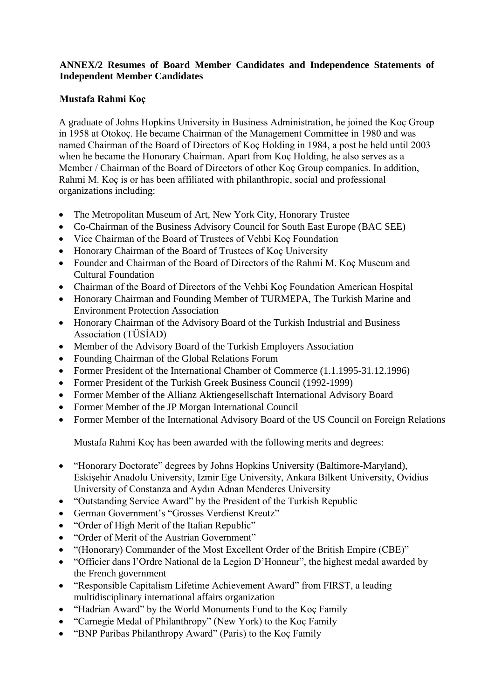# **ANNEX/2 Resumes of Board Member Candidates and Independence Statements of Independent Member Candidates**

# **Mustafa Rahmi Koç**

A graduate of Johns Hopkins University in Business Administration, he joined the Koç Group in 1958 at Otokoç. He became Chairman of the Management Committee in 1980 and was named Chairman of the Board of Directors of Koç Holding in 1984, a post he held until 2003 when he became the Honorary Chairman. Apart from Koç Holding, he also serves as a Member / Chairman of the Board of Directors of other Koç Group companies. In addition, Rahmi M. Koç is or has been affiliated with philanthropic, social and professional organizations including:

- The Metropolitan Museum of Art, New York City, Honorary Trustee
- Co-Chairman of the Business Advisory Council for South East Europe (BAC SEE)
- Vice Chairman of the Board of Trustees of Vehbi Koç Foundation
- Honorary Chairman of the Board of Trustees of Koç University
- Founder and Chairman of the Board of Directors of the Rahmi M. Koç Museum and Cultural Foundation
- Chairman of the Board of Directors of the Vehbi Koç Foundation American Hospital
- Honorary Chairman and Founding Member of TURMEPA, The Turkish Marine and Environment Protection Association
- Honorary Chairman of the Advisory Board of the Turkish Industrial and Business Association (TÜSİAD)
- Member of the Advisory Board of the Turkish Employers Association
- Founding Chairman of the Global Relations Forum
- Former President of the International Chamber of Commerce (1.1.1995-31.12.1996)
- Former President of the Turkish Greek Business Council (1992-1999)
- Former Member of the Allianz Aktiengesellschaft International Advisory Board
- Former Member of the JP Morgan International Council
- Former Member of the International Advisory Board of the US Council on Foreign Relations

Mustafa Rahmi Koç has been awarded with the following merits and degrees:

- "Honorary Doctorate" degrees by Johns Hopkins University (Baltimore-Maryland), Eskişehir Anadolu University, Izmir Ege University, Ankara Bilkent University, Ovidius University of Constanza and Aydın Adnan Menderes University
- "Outstanding Service Award" by the President of the Turkish Republic
- German Government's "Grosses Verdienst Kreutz"
- "Order of High Merit of the Italian Republic"
- "Order of Merit of the Austrian Government"
- "(Honorary) Commander of the Most Excellent Order of the British Empire (CBE)"
- "Officier dans l'Ordre National de la Legion D'Honneur", the highest medal awarded by the French government
- "Responsible Capitalism Lifetime Achievement Award" from FIRST, a leading multidisciplinary international affairs organization
- "Hadrian Award" by the World Monuments Fund to the Koç Family
- "Carnegie Medal of Philanthropy" (New York) to the Koç Family
- "BNP Paribas Philanthropy Award" (Paris) to the Koç Family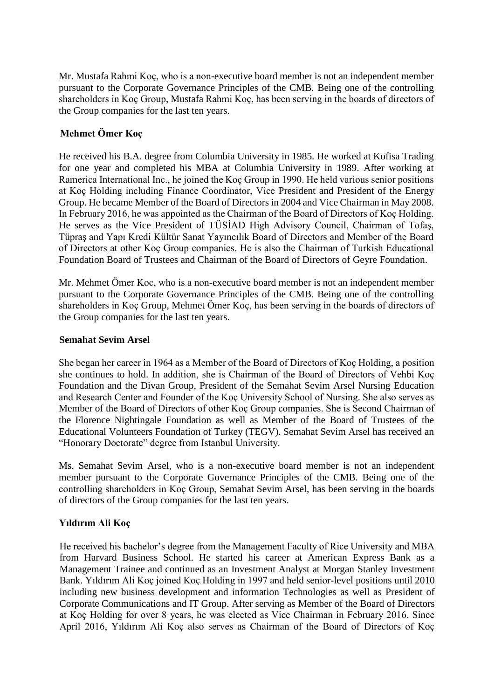Mr. Mustafa Rahmi Koç, who is a non-executive board member is not an independent member pursuant to the Corporate Governance Principles of the CMB. Being one of the controlling shareholders in Koç Group, Mustafa Rahmi Koç, has been serving in the boards of directors of the Group companies for the last ten years.

# **Mehmet Ömer Koç**

He received his B.A. degree from Columbia University in 1985. He worked at Kofisa Trading for one year and completed his MBA at Columbia University in 1989. After working at Ramerica International Inc., he joined the Koç Group in 1990. He held various senior positions at Koç Holding including Finance Coordinator, Vice President and President of the Energy Group. He became Member of the Board of Directors in 2004 and Vice Chairman in May 2008. In February 2016, he was appointed as the Chairman of the Board of Directors of Koç Holding. He serves as the Vice President of TÜSİAD High Advisory Council, Chairman of Tofaş, Tüpraş and Yapı Kredi Kültür Sanat Yayıncılık Board of Directors and Member of the Board of Directors at other Koç Group companies. He is also the Chairman of Turkish Educational Foundation Board of Trustees and Chairman of the Board of Directors of Geyre Foundation.

Mr. Mehmet Ömer Koc, who is a non-executive board member is not an independent member pursuant to the Corporate Governance Principles of the CMB. Being one of the controlling shareholders in Koç Group, Mehmet Ömer Koç, has been serving in the boards of directors of the Group companies for the last ten years.

## **Semahat Sevim Arsel**

She began her career in 1964 as a Member of the Board of Directors of Koç Holding, a position she continues to hold. In addition, she is Chairman of the Board of Directors of Vehbi Koç Foundation and the Divan Group, President of the Semahat Sevim Arsel Nursing Education and Research Center and Founder of the Koç University School of Nursing. She also serves as Member of the Board of Directors of other Koç Group companies. She is Second Chairman of the Florence Nightingale Foundation as well as Member of the Board of Trustees of the Educational Volunteers Foundation of Turkey (TEGV). Semahat Sevim Arsel has received an "Honorary Doctorate" degree from Istanbul University.

Ms. Semahat Sevim Arsel, who is a non-executive board member is not an independent member pursuant to the Corporate Governance Principles of the CMB. Being one of the controlling shareholders in Koç Group, Semahat Sevim Arsel, has been serving in the boards of directors of the Group companies for the last ten years.

## **Yıldırım Ali Koç**

He received his bachelor's degree from the Management Faculty of Rice University and MBA from Harvard Business School. He started his career at American Express Bank as a Management Trainee and continued as an Investment Analyst at Morgan Stanley Investment Bank. Yıldırım Ali Koç joined Koç Holding in 1997 and held senior-level positions until 2010 including new business development and information Technologies as well as President of Corporate Communications and IT Group. After serving as Member of the Board of Directors at Koç Holding for over 8 years, he was elected as Vice Chairman in February 2016. Since April 2016, Yıldırım Ali Koç also serves as Chairman of the Board of Directors of Koç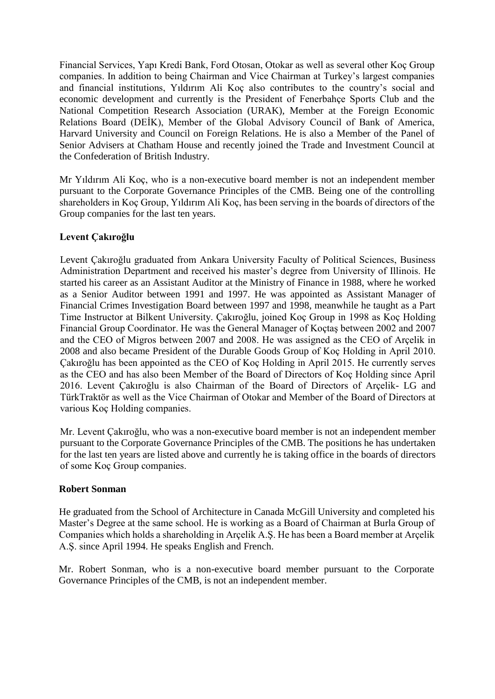Financial Services, Yapı Kredi Bank, Ford Otosan, Otokar as well as several other Koç Group companies. In addition to being Chairman and Vice Chairman at Turkey's largest companies and financial institutions, Yıldırım Ali Koç also contributes to the country's social and economic development and currently is the President of Fenerbahçe Sports Club and the National Competition Research Association (URAK), Member at the Foreign Economic Relations Board (DEİK), Member of the Global Advisory Council of Bank of America, Harvard University and Council on Foreign Relations. He is also a Member of the Panel of Senior Advisers at Chatham House and recently joined the Trade and Investment Council at the Confederation of British Industry.

Mr Yıldırım Ali Koç, who is a non-executive board member is not an independent member pursuant to the Corporate Governance Principles of the CMB. Being one of the controlling shareholders in Koç Group, Yıldırım Ali Koç, has been serving in the boards of directors of the Group companies for the last ten years.

## **Levent Çakıroğlu**

Levent Çakıroğlu graduated from Ankara University Faculty of Political Sciences, Business Administration Department and received his master's degree from University of Illinois. He started his career as an Assistant Auditor at the Ministry of Finance in 1988, where he worked as a Senior Auditor between 1991 and 1997. He was appointed as Assistant Manager of Financial Crimes Investigation Board between 1997 and 1998, meanwhile he taught as a Part Time Instructor at Bilkent University. Çakıroğlu, joined Koç Group in 1998 as Koç Holding Financial Group Coordinator. He was the General Manager of Koçtaş between 2002 and 2007 and the CEO of Migros between 2007 and 2008. He was assigned as the CEO of Arçelik in 2008 and also became President of the Durable Goods Group of Koç Holding in April 2010. Çakıroğlu has been appointed as the CEO of Koç Holding in April 2015. He currently serves as the CEO and has also been Member of the Board of Directors of Koç Holding since April 2016. Levent Çakıroğlu is also Chairman of the Board of Directors of Arçelik- LG and TürkTraktör as well as the Vice Chairman of Otokar and Member of the Board of Directors at various Koç Holding companies.

Mr. Levent Çakıroğlu, who was a non-executive board member is not an independent member pursuant to the Corporate Governance Principles of the CMB. The positions he has undertaken for the last ten years are listed above and currently he is taking office in the boards of directors of some Koç Group companies.

## **Robert Sonman**

He graduated from the School of Architecture in Canada McGill University and completed his Master's Degree at the same school. He is working as a Board of Chairman at Burla Group of Companies which holds a shareholding in Arçelik A.Ş. He has been a Board member at Arçelik A.Ş. since April 1994. He speaks English and French.

Mr. Robert Sonman, who is a non-executive board member pursuant to the Corporate Governance Principles of the CMB, is not an independent member.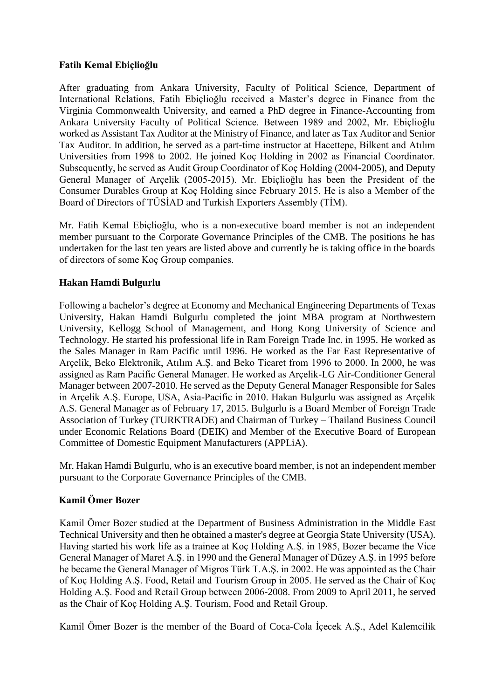## **Fatih Kemal Ebiçlioğlu**

After graduating from Ankara University, Faculty of Political Science, Department of International Relations, Fatih Ebiçlioğlu received a Master's degree in Finance from the Virginia Commonwealth University, and earned a PhD degree in Finance-Accounting from Ankara University Faculty of Political Science. Between 1989 and 2002, Mr. Ebiçlioğlu worked as Assistant Tax Auditor at the Ministry of Finance, and later as Tax Auditor and Senior Tax Auditor. In addition, he served as a part-time instructor at Hacettepe, Bilkent and Atılım Universities from 1998 to 2002. He joined Koç Holding in 2002 as Financial Coordinator. Subsequently, he served as Audit Group Coordinator of Koç Holding (2004-2005), and Deputy General Manager of Arçelik (2005-2015). Mr. Ebiçlioğlu has been the President of the Consumer Durables Group at Koç Holding since February 2015. He is also a Member of the Board of Directors of TÜSİAD and Turkish Exporters Assembly (TİM).

Mr. Fatih Kemal Ebiçlioğlu, who is a non-executive board member is not an independent member pursuant to the Corporate Governance Principles of the CMB. The positions he has undertaken for the last ten years are listed above and currently he is taking office in the boards of directors of some Koç Group companies.

## **Hakan Hamdi Bulgurlu**

Following a bachelor's degree at Economy and Mechanical Engineering Departments of Texas University, Hakan Hamdi Bulgurlu completed the joint MBA program at Northwestern University, Kellogg School of Management, and Hong Kong University of Science and Technology. He started his professional life in Ram Foreign Trade Inc. in 1995. He worked as the Sales Manager in Ram Pacific until 1996. He worked as the Far East Representative of Arçelik, Beko Elektronik, Atılım A.Ş. and Beko Ticaret from 1996 to 2000. In 2000, he was assigned as Ram Pacific General Manager. He worked as Arçelik-LG Air-Conditioner General Manager between 2007-2010. He served as the Deputy General Manager Responsible for Sales in Arçelik A.Ş. Europe, USA, Asia-Pacific in 2010. Hakan Bulgurlu was assigned as Arçelik A.S. General Manager as of February 17, 2015. Bulgurlu is a Board Member of Foreign Trade Association of Turkey (TURKTRADE) and Chairman of Turkey – Thailand Business Council under Economic Relations Board (DEIK) and Member of the Executive Board of European Committee of Domestic Equipment Manufacturers (APPLiA).

Mr. Hakan Hamdi Bulgurlu, who is an executive board member, is not an independent member pursuant to the Corporate Governance Principles of the CMB.

## **Kamil Ömer Bozer**

Kamil Ömer Bozer studied at the Department of Business Administration in the Middle East Technical University and then he obtained a master's degree at Georgia State University (USA). Having started his work life as a trainee at Koç Holding A.Ş. in 1985, Bozer became the Vice General Manager of Maret A.Ş. in 1990 and the General Manager of Düzey A.Ş. in 1995 before he became the General Manager of Migros Türk T.A.Ş. in 2002. He was appointed as the Chair of Koç Holding A.Ş. Food, Retail and Tourism Group in 2005. He served as the Chair of Koç Holding A.Ş. Food and Retail Group between 2006-2008. From 2009 to April 2011, he served as the Chair of Koç Holding A.Ş. Tourism, Food and Retail Group.

Kamil Ömer Bozer is the member of the Board of Coca-Cola İçecek A.Ş., Adel Kalemcilik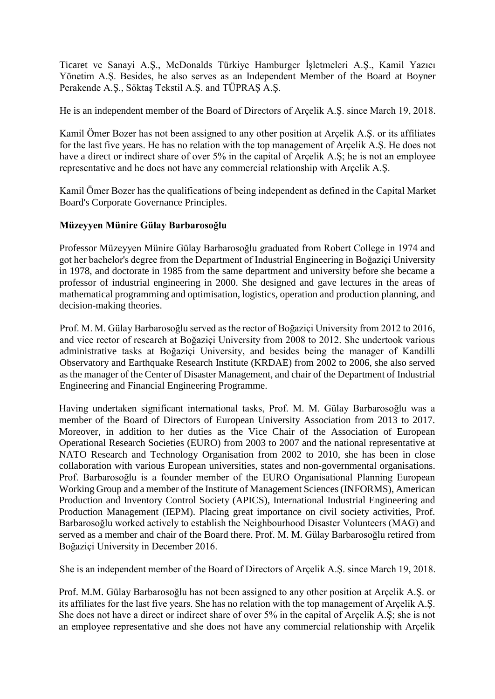Ticaret ve Sanayi A.Ş., McDonalds Türkiye Hamburger İşletmeleri A.Ş., Kamil Yazıcı Yönetim A.Ş. Besides, he also serves as an Independent Member of the Board at Boyner Perakende A.Ş., Söktaş Tekstil A.Ş. and TÜPRAŞ A.Ş.

He is an independent member of the Board of Directors of Arçelik A.Ş. since March 19, 2018.

Kamil Ömer Bozer has not been assigned to any other position at Arçelik A.Ş. or its affiliates for the last five years. He has no relation with the top management of Arçelik A.Ş. He does not have a direct or indirect share of over 5% in the capital of Arcelik A.S; he is not an employee representative and he does not have any commercial relationship with Arçelik A.Ş.

Kamil Ömer Bozer has the qualifications of being independent as defined in the Capital Market Board's Corporate Governance Principles.

## **Müzeyyen Münire Gülay Barbarosoğlu**

Professor Müzeyyen Münire Gülay Barbarosoğlu graduated from Robert College in 1974 and got her bachelor's degree from the Department of Industrial Engineering in Boğaziçi University in 1978, and doctorate in 1985 from the same department and university before she became a professor of industrial engineering in 2000. She designed and gave lectures in the areas of mathematical programming and optimisation, logistics, operation and production planning, and decision-making theories.

Prof. M. M. Gülay Barbarosoğlu served as the rector of Boğaziçi University from 2012 to 2016, and vice rector of research at Boğaziçi University from 2008 to 2012. She undertook various administrative tasks at Boğaziçi University, and besides being the manager of Kandilli Observatory and Earthquake Research Institute (KRDAE) from 2002 to 2006, she also served as the manager of the Center of Disaster Management, and chair of the Department of Industrial Engineering and Financial Engineering Programme.

Having undertaken significant international tasks, Prof. M. M. Gülay Barbarosoğlu was a member of the Board of Directors of European University Association from 2013 to 2017. Moreover, in addition to her duties as the Vice Chair of the Association of European Operational Research Societies (EURO) from 2003 to 2007 and the national representative at NATO Research and Technology Organisation from 2002 to 2010, she has been in close collaboration with various European universities, states and non-governmental organisations. Prof. Barbarosoğlu is a founder member of the EURO Organisational Planning European Working Group and a member of the Institute of Management Sciences (INFORMS), American Production and Inventory Control Society (APICS), International Industrial Engineering and Production Management (IEPM). Placing great importance on civil society activities, Prof. Barbarosoğlu worked actively to establish the Neighbourhood Disaster Volunteers (MAG) and served as a member and chair of the Board there. Prof. M. M. Gülay Barbarosoğlu retired from Boğaziçi University in December 2016.

She is an independent member of the Board of Directors of Arçelik A.Ş. since March 19, 2018.

Prof. M.M. Gülay Barbarosoğlu has not been assigned to any other position at Arçelik A.Ş. or its affiliates for the last five years. She has no relation with the top management of Arçelik A.Ş. She does not have a direct or indirect share of over 5% in the capital of Arçelik A.Ş; she is not an employee representative and she does not have any commercial relationship with Arçelik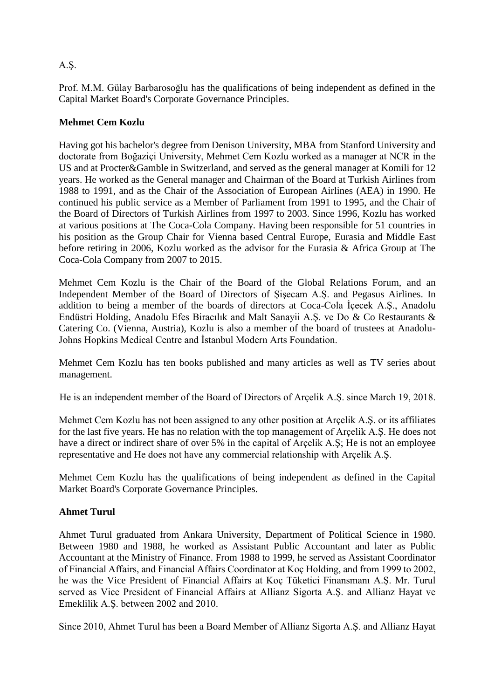# A.Ş.

Prof. M.M. Gülay Barbarosoğlu has the qualifications of being independent as defined in the Capital Market Board's Corporate Governance Principles.

# **Mehmet Cem Kozlu**

Having got his bachelor's degree from Denison University, MBA from Stanford University and doctorate from Boğaziçi University, Mehmet Cem Kozlu worked as a manager at NCR in the US and at Procter&Gamble in Switzerland, and served as the general manager at Komili for 12 years. He worked as the General manager and Chairman of the Board at Turkish Airlines from 1988 to 1991, and as the Chair of the Association of European Airlines (AEA) in 1990. He continued his public service as a Member of Parliament from 1991 to 1995, and the Chair of the Board of Directors of Turkish Airlines from 1997 to 2003. Since 1996, Kozlu has worked at various positions at The Coca-Cola Company. Having been responsible for 51 countries in his position as the Group Chair for Vienna based Central Europe, Eurasia and Middle East before retiring in 2006, Kozlu worked as the advisor for the Eurasia & Africa Group at The Coca-Cola Company from 2007 to 2015.

Mehmet Cem Kozlu is the Chair of the Board of the Global Relations Forum, and an Independent Member of the Board of Directors of Şişecam A.Ş. and Pegasus Airlines. In addition to being a member of the boards of directors at Coca-Cola İçecek A.Ş., Anadolu Endüstri Holding, Anadolu Efes Biracılık and Malt Sanayii A.Ş. ve Do & Co Restaurants & Catering Co. (Vienna, Austria), Kozlu is also a member of the board of trustees at Anadolu-Johns Hopkins Medical Centre and İstanbul Modern Arts Foundation.

Mehmet Cem Kozlu has ten books published and many articles as well as TV series about management.

He is an independent member of the Board of Directors of Arçelik A.Ş. since March 19, 2018.

Mehmet Cem Kozlu has not been assigned to any other position at Arçelik A.Ş. or its affiliates for the last five years. He has no relation with the top management of Arçelik A.Ş. He does not have a direct or indirect share of over 5% in the capital of Arçelik A.Ş; He is not an employee representative and He does not have any commercial relationship with Arçelik A.Ş.

Mehmet Cem Kozlu has the qualifications of being independent as defined in the Capital Market Board's Corporate Governance Principles.

## **Ahmet Turul**

Ahmet Turul graduated from Ankara University, Department of Political Science in 1980. Between 1980 and 1988, he worked as Assistant Public Accountant and later as Public Accountant at the Ministry of Finance. From 1988 to 1999, he served as Assistant Coordinator of Financial Affairs, and Financial Affairs Coordinator at Koç Holding, and from 1999 to 2002, he was the Vice President of Financial Affairs at Koç Tüketici Finansmanı A.Ş. Mr. Turul served as Vice President of Financial Affairs at Allianz Sigorta A.Ş. and Allianz Hayat ve Emeklilik A.Ş. between 2002 and 2010.

Since 2010, Ahmet Turul has been a Board Member of Allianz Sigorta A.Ş. and Allianz Hayat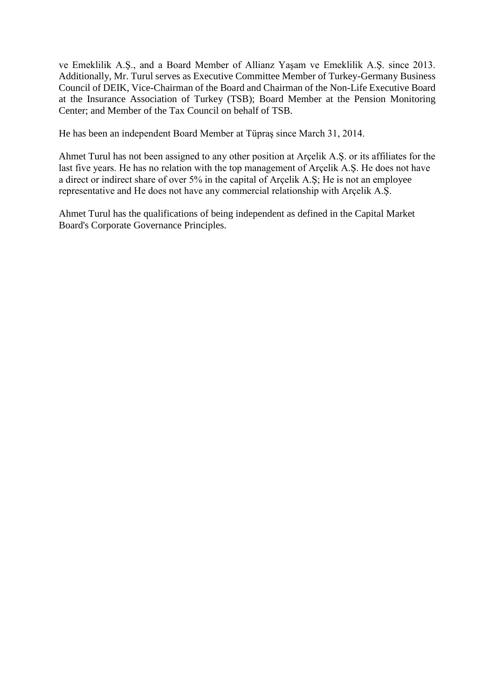ve Emeklilik A.Ş., and a Board Member of Allianz Yaşam ve Emeklilik A.Ş. since 2013. Additionally, Mr. Turul serves as Executive Committee Member of Turkey-Germany Business Council of DEIK, Vice-Chairman of the Board and Chairman of the Non-Life Executive Board at the Insurance Association of Turkey (TSB); Board Member at the Pension Monitoring Center; and Member of the Tax Council on behalf of TSB.

He has been an independent Board Member at Tüpraş since March 31, 2014.

Ahmet Turul has not been assigned to any other position at Arçelik A.Ş. or its affiliates for the last five years. He has no relation with the top management of Arçelik A.Ş. He does not have a direct or indirect share of over 5% in the capital of Arçelik A.Ş; He is not an employee representative and He does not have any commercial relationship with Arçelik A.Ş.

Ahmet Turul has the qualifications of being independent as defined in the Capital Market Board's Corporate Governance Principles.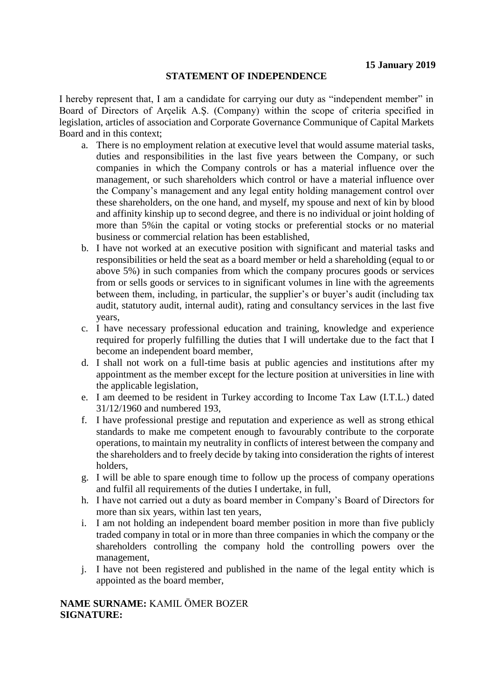I hereby represent that, I am a candidate for carrying our duty as "independent member" in Board of Directors of Arçelik A.Ş. (Company) within the scope of criteria specified in legislation, articles of association and Corporate Governance Communique of Capital Markets Board and in this context;

- a. There is no employment relation at executive level that would assume material tasks, duties and responsibilities in the last five years between the Company, or such companies in which the Company controls or has a material influence over the management, or such shareholders which control or have a material influence over the Company's management and any legal entity holding management control over these shareholders, on the one hand, and myself, my spouse and next of kin by blood and affinity kinship up to second degree, and there is no individual or joint holding of more than 5%in the capital or voting stocks or preferential stocks or no material business or commercial relation has been established,
- b. I have not worked at an executive position with significant and material tasks and responsibilities or held the seat as a board member or held a shareholding (equal to or above 5%) in such companies from which the company procures goods or services from or sells goods or services to in significant volumes in line with the agreements between them, including, in particular, the supplier's or buyer's audit (including tax audit, statutory audit, internal audit), rating and consultancy services in the last five years,
- c. I have necessary professional education and training, knowledge and experience required for properly fulfilling the duties that I will undertake due to the fact that I become an independent board member,
- d. I shall not work on a full-time basis at public agencies and institutions after my appointment as the member except for the lecture position at universities in line with the applicable legislation,
- e. I am deemed to be resident in Turkey according to Income Tax Law (I.T.L.) dated 31/12/1960 and numbered 193,
- f. I have professional prestige and reputation and experience as well as strong ethical standards to make me competent enough to favourably contribute to the corporate operations, to maintain my neutrality in conflicts of interest between the company and the shareholders and to freely decide by taking into consideration the rights of interest holders,
- g. I will be able to spare enough time to follow up the process of company operations and fulfil all requirements of the duties I undertake, in full,
- h. I have not carried out a duty as board member in Company's Board of Directors for more than six years, within last ten years,
- i. I am not holding an independent board member position in more than five publicly traded company in total or in more than three companies in which the company or the shareholders controlling the company hold the controlling powers over the management,
- j. I have not been registered and published in the name of the legal entity which is appointed as the board member,

**NAME SURNAME:** KAMIL ÖMER BOZER **SIGNATURE:**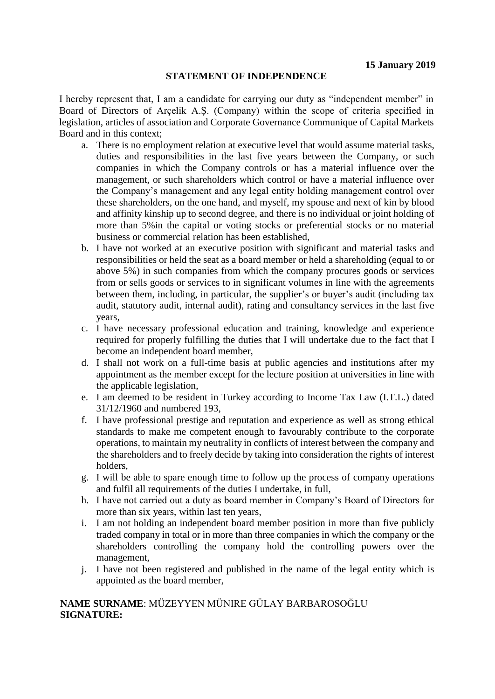I hereby represent that, I am a candidate for carrying our duty as "independent member" in Board of Directors of Arçelik A.Ş. (Company) within the scope of criteria specified in legislation, articles of association and Corporate Governance Communique of Capital Markets Board and in this context;

- a. There is no employment relation at executive level that would assume material tasks, duties and responsibilities in the last five years between the Company, or such companies in which the Company controls or has a material influence over the management, or such shareholders which control or have a material influence over the Company's management and any legal entity holding management control over these shareholders, on the one hand, and myself, my spouse and next of kin by blood and affinity kinship up to second degree, and there is no individual or joint holding of more than 5%in the capital or voting stocks or preferential stocks or no material business or commercial relation has been established,
- b. I have not worked at an executive position with significant and material tasks and responsibilities or held the seat as a board member or held a shareholding (equal to or above 5%) in such companies from which the company procures goods or services from or sells goods or services to in significant volumes in line with the agreements between them, including, in particular, the supplier's or buyer's audit (including tax audit, statutory audit, internal audit), rating and consultancy services in the last five years,
- c. I have necessary professional education and training, knowledge and experience required for properly fulfilling the duties that I will undertake due to the fact that I become an independent board member,
- d. I shall not work on a full-time basis at public agencies and institutions after my appointment as the member except for the lecture position at universities in line with the applicable legislation,
- e. I am deemed to be resident in Turkey according to Income Tax Law (I.T.L.) dated 31/12/1960 and numbered 193,
- f. I have professional prestige and reputation and experience as well as strong ethical standards to make me competent enough to favourably contribute to the corporate operations, to maintain my neutrality in conflicts of interest between the company and the shareholders and to freely decide by taking into consideration the rights of interest holders,
- g. I will be able to spare enough time to follow up the process of company operations and fulfil all requirements of the duties I undertake, in full,
- h. I have not carried out a duty as board member in Company's Board of Directors for more than six years, within last ten years,
- i. I am not holding an independent board member position in more than five publicly traded company in total or in more than three companies in which the company or the shareholders controlling the company hold the controlling powers over the management,
- j. I have not been registered and published in the name of the legal entity which is appointed as the board member,

## **NAME SURNAME**: MÜZEYYEN MÜNIRE GÜLAY BARBAROSOĞLU **SIGNATURE:**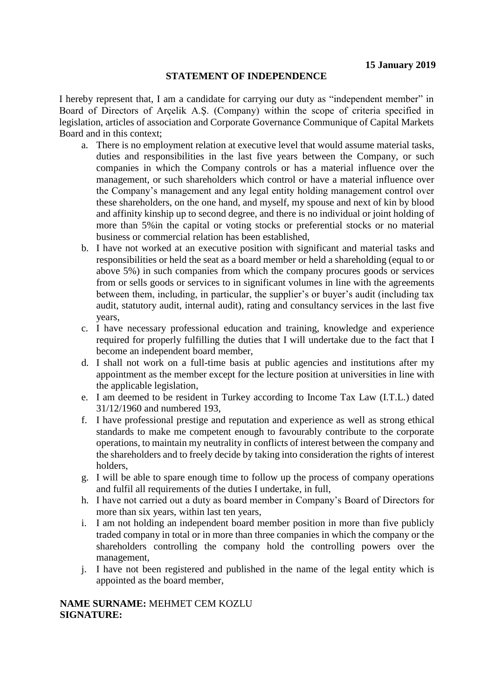I hereby represent that, I am a candidate for carrying our duty as "independent member" in Board of Directors of Arçelik A.Ş. (Company) within the scope of criteria specified in legislation, articles of association and Corporate Governance Communique of Capital Markets Board and in this context;

- a. There is no employment relation at executive level that would assume material tasks, duties and responsibilities in the last five years between the Company, or such companies in which the Company controls or has a material influence over the management, or such shareholders which control or have a material influence over the Company's management and any legal entity holding management control over these shareholders, on the one hand, and myself, my spouse and next of kin by blood and affinity kinship up to second degree, and there is no individual or joint holding of more than 5%in the capital or voting stocks or preferential stocks or no material business or commercial relation has been established,
- b. I have not worked at an executive position with significant and material tasks and responsibilities or held the seat as a board member or held a shareholding (equal to or above 5%) in such companies from which the company procures goods or services from or sells goods or services to in significant volumes in line with the agreements between them, including, in particular, the supplier's or buyer's audit (including tax audit, statutory audit, internal audit), rating and consultancy services in the last five years,
- c. I have necessary professional education and training, knowledge and experience required for properly fulfilling the duties that I will undertake due to the fact that I become an independent board member,
- d. I shall not work on a full-time basis at public agencies and institutions after my appointment as the member except for the lecture position at universities in line with the applicable legislation,
- e. I am deemed to be resident in Turkey according to Income Tax Law (I.T.L.) dated 31/12/1960 and numbered 193,
- f. I have professional prestige and reputation and experience as well as strong ethical standards to make me competent enough to favourably contribute to the corporate operations, to maintain my neutrality in conflicts of interest between the company and the shareholders and to freely decide by taking into consideration the rights of interest holders,
- g. I will be able to spare enough time to follow up the process of company operations and fulfil all requirements of the duties I undertake, in full,
- h. I have not carried out a duty as board member in Company's Board of Directors for more than six years, within last ten years,
- i. I am not holding an independent board member position in more than five publicly traded company in total or in more than three companies in which the company or the shareholders controlling the company hold the controlling powers over the management,
- j. I have not been registered and published in the name of the legal entity which is appointed as the board member,

### **NAME SURNAME:** MEHMET CEM KOZLU **SIGNATURE:**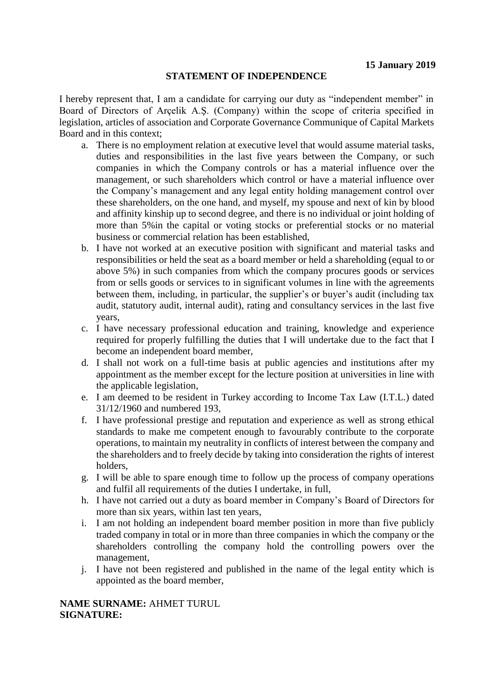I hereby represent that, I am a candidate for carrying our duty as "independent member" in Board of Directors of Arçelik A.Ş. (Company) within the scope of criteria specified in legislation, articles of association and Corporate Governance Communique of Capital Markets Board and in this context;

- a. There is no employment relation at executive level that would assume material tasks, duties and responsibilities in the last five years between the Company, or such companies in which the Company controls or has a material influence over the management, or such shareholders which control or have a material influence over the Company's management and any legal entity holding management control over these shareholders, on the one hand, and myself, my spouse and next of kin by blood and affinity kinship up to second degree, and there is no individual or joint holding of more than 5%in the capital or voting stocks or preferential stocks or no material business or commercial relation has been established,
- b. I have not worked at an executive position with significant and material tasks and responsibilities or held the seat as a board member or held a shareholding (equal to or above 5%) in such companies from which the company procures goods or services from or sells goods or services to in significant volumes in line with the agreements between them, including, in particular, the supplier's or buyer's audit (including tax audit, statutory audit, internal audit), rating and consultancy services in the last five years,
- c. I have necessary professional education and training, knowledge and experience required for properly fulfilling the duties that I will undertake due to the fact that I become an independent board member,
- d. I shall not work on a full-time basis at public agencies and institutions after my appointment as the member except for the lecture position at universities in line with the applicable legislation,
- e. I am deemed to be resident in Turkey according to Income Tax Law (I.T.L.) dated 31/12/1960 and numbered 193,
- f. I have professional prestige and reputation and experience as well as strong ethical standards to make me competent enough to favourably contribute to the corporate operations, to maintain my neutrality in conflicts of interest between the company and the shareholders and to freely decide by taking into consideration the rights of interest holders,
- g. I will be able to spare enough time to follow up the process of company operations and fulfil all requirements of the duties I undertake, in full,
- h. I have not carried out a duty as board member in Company's Board of Directors for more than six years, within last ten years,
- i. I am not holding an independent board member position in more than five publicly traded company in total or in more than three companies in which the company or the shareholders controlling the company hold the controlling powers over the management,
- j. I have not been registered and published in the name of the legal entity which is appointed as the board member,

**NAME SURNAME:** AHMET TURUL **SIGNATURE:**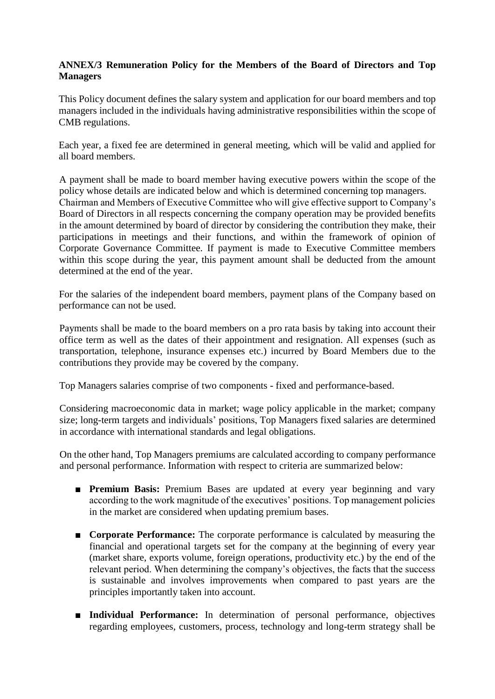## **ANNEX/3 Remuneration Policy for the Members of the Board of Directors and Top Managers**

This Policy document defines the salary system and application for our board members and top managers included in the individuals having administrative responsibilities within the scope of CMB regulations.

Each year, a fixed fee are determined in general meeting, which will be valid and applied for all board members.

A payment shall be made to board member having executive powers within the scope of the policy whose details are indicated below and which is determined concerning top managers. Chairman and Members of Executive Committee who will give effective support to Company's Board of Directors in all respects concerning the company operation may be provided benefits in the amount determined by board of director by considering the contribution they make, their participations in meetings and their functions, and within the framework of opinion of Corporate Governance Committee. If payment is made to Executive Committee members within this scope during the year, this payment amount shall be deducted from the amount determined at the end of the year.

For the salaries of the independent board members, payment plans of the Company based on performance can not be used.

Payments shall be made to the board members on a pro rata basis by taking into account their office term as well as the dates of their appointment and resignation. All expenses (such as transportation, telephone, insurance expenses etc.) incurred by Board Members due to the contributions they provide may be covered by the company.

Top Managers salaries comprise of two components - fixed and performance-based.

Considering macroeconomic data in market; wage policy applicable in the market; company size; long-term targets and individuals' positions, Top Managers fixed salaries are determined in accordance with international standards and legal obligations.

On the other hand, Top Managers premiums are calculated according to company performance and personal performance. Information with respect to criteria are summarized below:

- **Premium Basis:** Premium Bases are updated at every year beginning and vary according to the work magnitude of the executives' positions. Top management policies in the market are considered when updating premium bases.
- **Corporate Performance:** The corporate performance is calculated by measuring the financial and operational targets set for the company at the beginning of every year (market share, exports volume, foreign operations, productivity etc.) by the end of the relevant period. When determining the company's objectives, the facts that the success is sustainable and involves improvements when compared to past years are the principles importantly taken into account.
- **Individual Performance:** In determination of personal performance, objectives regarding employees, customers, process, technology and long-term strategy shall be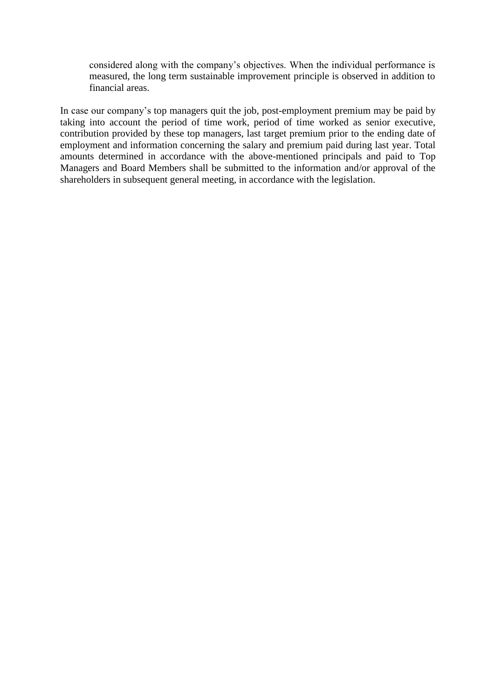considered along with the company's objectives. When the individual performance is measured, the long term sustainable improvement principle is observed in addition to financial areas.

In case our company's top managers quit the job, post-employment premium may be paid by taking into account the period of time work, period of time worked as senior executive, contribution provided by these top managers, last target premium prior to the ending date of employment and information concerning the salary and premium paid during last year. Total amounts determined in accordance with the above-mentioned principals and paid to Top Managers and Board Members shall be submitted to the information and/or approval of the shareholders in subsequent general meeting, in accordance with the legislation.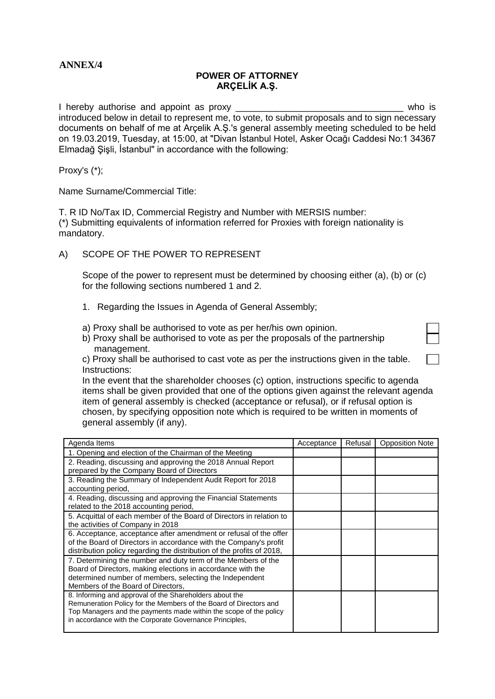## **ANNEX/4**

#### **POWER OF ATTORNEY ARÇELİK A.Ş.**

I hereby authorise and appoint as proxy **EXACUSE 1** hereby authorise and appoint as proxy introduced below in detail to represent me, to vote, to submit proposals and to sign necessary documents on behalf of me at Arçelik A.Ş.'s general assembly meeting scheduled to be held on 19.03.2019, Tuesday, at 15:00, at "Divan İstanbul Hotel, Asker Ocağı Caddesi No:1 34367 Elmadağ Şişli, İstanbul" in accordance with the following:

Proxy's (\*);

Name Surname/Commercial Title:

T. R ID No/Tax ID, Commercial Registry and Number with MERSIS number: (\*) Submitting equivalents of information referred for Proxies with foreign nationality is mandatory.

A) SCOPE OF THE POWER TO REPRESENT

Scope of the power to represent must be determined by choosing either (a), (b) or (c) for the following sections numbered 1 and 2.

- 1. Regarding the Issues in Agenda of General Assembly;
- a) Proxy shall be authorised to vote as per her/his own opinion.
- b) Proxy shall be authorised to vote as per the proposals of the partnership management.

c) Proxy shall be authorised to cast vote as per the instructions given in the table. Instructions:

In the event that the shareholder chooses (c) option, instructions specific to agenda items shall be given provided that one of the options given against the relevant agenda item of general assembly is checked (acceptance or refusal), or if refusal option is chosen, by specifying opposition note which is required to be written in moments of general assembly (if any).

| Agenda Items                                                                                                                           | Acceptance | Refusal | <b>Opposition Note</b> |
|----------------------------------------------------------------------------------------------------------------------------------------|------------|---------|------------------------|
| 1. Opening and election of the Chairman of the Meeting                                                                                 |            |         |                        |
| 2. Reading, discussing and approving the 2018 Annual Report                                                                            |            |         |                        |
| prepared by the Company Board of Directors                                                                                             |            |         |                        |
| 3. Reading the Summary of Independent Audit Report for 2018                                                                            |            |         |                        |
| accounting period,                                                                                                                     |            |         |                        |
| 4. Reading, discussing and approving the Financial Statements                                                                          |            |         |                        |
| related to the 2018 accounting period,                                                                                                 |            |         |                        |
| 5. Acquittal of each member of the Board of Directors in relation to                                                                   |            |         |                        |
| the activities of Company in 2018                                                                                                      |            |         |                        |
| 6. Acceptance, acceptance after amendment or refusal of the offer                                                                      |            |         |                        |
| of the Board of Directors in accordance with the Company's profit                                                                      |            |         |                        |
| distribution policy regarding the distribution of the profits of 2018,                                                                 |            |         |                        |
| 7. Determining the number and duty term of the Members of the                                                                          |            |         |                        |
| Board of Directors, making elections in accordance with the                                                                            |            |         |                        |
| determined number of members, selecting the Independent                                                                                |            |         |                        |
| Members of the Board of Directors,                                                                                                     |            |         |                        |
| 8. Informing and approval of the Shareholders about the                                                                                |            |         |                        |
| Remuneration Policy for the Members of the Board of Directors and<br>Top Managers and the payments made within the scope of the policy |            |         |                        |
| in accordance with the Corporate Governance Principles,                                                                                |            |         |                        |
|                                                                                                                                        |            |         |                        |